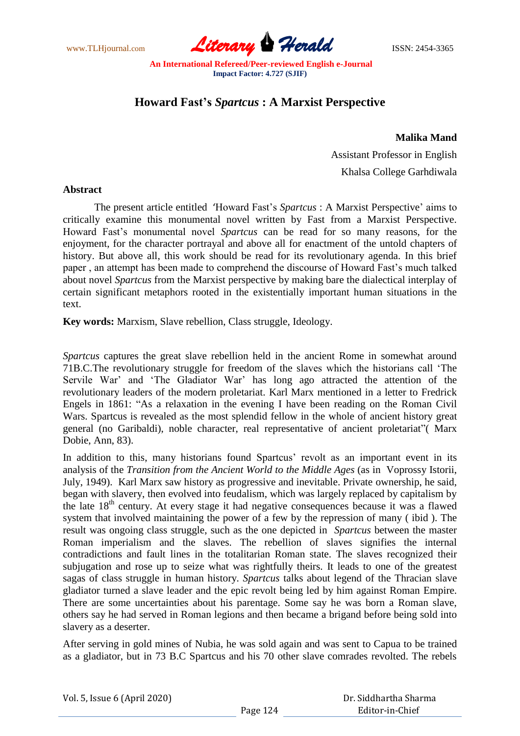www.TLHjournal.com **Literary Herald ISSN: 2454-3365** 

# **Howard Fast's** *Spartcus* **: A Marxist Perspective**

**Malika Mand**

 Assistant Professor in English Khalsa College Garhdiwala

# **Abstract**

The present article entitled 'Howard Fast's *Spartcus* : A Marxist Perspective' aims to critically examine this monumental novel written by Fast from a Marxist Perspective. Howard Fast's monumental novel *Spartcus* can be read for so many reasons, for the enjoyment, for the character portrayal and above all for enactment of the untold chapters of history. But above all, this work should be read for its revolutionary agenda. In this brief paper , an attempt has been made to comprehend the discourse of Howard Fast's much talked about novel *Spartcus* from the Marxist perspective by making bare the dialectical interplay of certain significant metaphors rooted in the existentially important human situations in the text.

**Key words:** Marxism, Slave rebellion, Class struggle, Ideology.

*Spartcus* captures the great slave rebellion held in the ancient Rome in somewhat around 71B.C.The revolutionary struggle for freedom of the slaves which the historians call ‗The Servile War' and 'The Gladiator War' has long ago attracted the attention of the revolutionary leaders of the modern proletariat. Karl Marx mentioned in a letter to Fredrick Engels in 1861: "As a relaxation in the evening I have been reading on the Roman Civil Wars. Spartcus is revealed as the most splendid fellow in the whole of ancient history great general (no Garibaldi), noble character, real representative of ancient proletariat" (Marx Dobie, Ann, 83).

In addition to this, many historians found Spartcus' revolt as an important event in its analysis of the *Transition from the Ancient World to the Middle Ages* (as in Voprossy Istorii, July, 1949). Karl Marx saw history as progressive and inevitable. Private ownership, he said, began with slavery, then evolved into feudalism, which was largely replaced by capitalism by the late 18<sup>th</sup> century. At every stage it had negative consequences because it was a flawed system that involved maintaining the power of a few by the repression of many ( ibid ). The result was ongoing class struggle, such as the one depicted in *Spartcus* between the master Roman imperialism and the slaves. The rebellion of slaves signifies the internal contradictions and fault lines in the totalitarian Roman state. The slaves recognized their subjugation and rose up to seize what was rightfully theirs. It leads to one of the greatest sagas of class struggle in human history. *Spartcus* talks about legend of the Thracian slave gladiator turned a slave leader and the epic revolt being led by him against Roman Empire. There are some uncertainties about his parentage. Some say he was born a Roman slave, others say he had served in Roman legions and then became a brigand before being sold into slavery as a deserter.

After serving in gold mines of Nubia, he was sold again and was sent to Capua to be trained as a gladiator, but in 73 B.C Spartcus and his 70 other slave comrades revolted. The rebels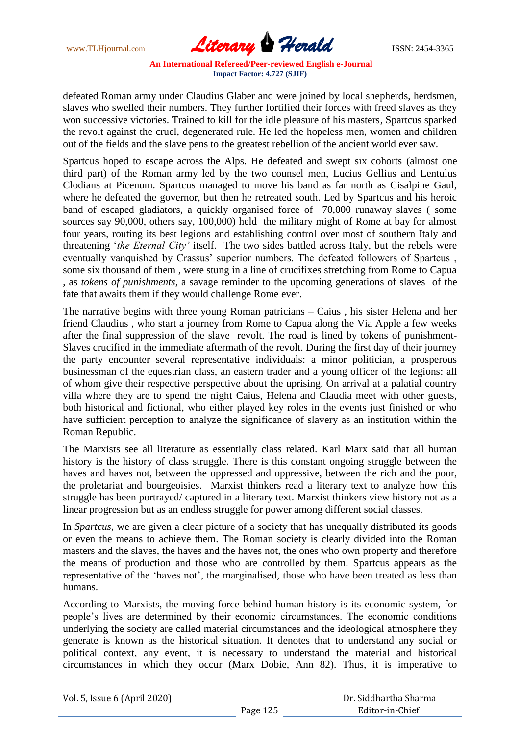www.TLHjournal.com **Literary Herald ISSN: 2454-3365** 

defeated Roman army under Claudius Glaber and were joined by local shepherds, herdsmen, slaves who swelled their numbers. They further fortified their forces with freed slaves as they won successive victories. Trained to kill for the idle pleasure of his masters, Spartcus sparked the revolt against the cruel, degenerated rule. He led the hopeless men, women and children out of the fields and the slave pens to the greatest rebellion of the ancient world ever saw.

Spartcus hoped to escape across the Alps. He defeated and swept six cohorts (almost one third part) of the Roman army led by the two counsel men, Lucius Gellius and Lentulus Clodians at Picenum. Spartcus managed to move his band as far north as Cisalpine Gaul, where he defeated the governor, but then he retreated south. Led by Spartcus and his heroic band of escaped gladiators, a quickly organised force of 70,000 runaway slaves ( some sources say 90,000, others say, 100,000) held the military might of Rome at bay for almost four years, routing its best legions and establishing control over most of southern Italy and threatening ‗*the Eternal City'* itself. The two sides battled across Italy, but the rebels were eventually vanquished by Crassus' superior numbers. The defeated followers of Spartcus , some six thousand of them , were stung in a line of crucifixes stretching from Rome to Capua , as *tokens of punishments*, a savage reminder to the upcoming generations of slaves of the fate that awaits them if they would challenge Rome ever.

The narrative begins with three young Roman patricians – Caius , his sister Helena and her friend Claudius , who start a journey from Rome to Capua along the Via Apple a few weeks after the final suppression of the slave revolt. The road is lined by tokens of punishment-Slaves crucified in the immediate aftermath of the revolt. During the first day of their journey the party encounter several representative individuals: a minor politician, a prosperous businessman of the equestrian class, an eastern trader and a young officer of the legions: all of whom give their respective perspective about the uprising. On arrival at a palatial country villa where they are to spend the night Caius, Helena and Claudia meet with other guests, both historical and fictional, who either played key roles in the events just finished or who have sufficient perception to analyze the significance of slavery as an institution within the Roman Republic.

The Marxists see all literature as essentially class related. Karl Marx said that all human history is the history of class struggle. There is this constant ongoing struggle between the haves and haves not, between the oppressed and oppressive, between the rich and the poor, the proletariat and bourgeoisies. Marxist thinkers read a literary text to analyze how this struggle has been portrayed/ captured in a literary text. Marxist thinkers view history not as a linear progression but as an endless struggle for power among different social classes.

In *Spartcus*, we are given a clear picture of a society that has unequally distributed its goods or even the means to achieve them. The Roman society is clearly divided into the Roman masters and the slaves, the haves and the haves not, the ones who own property and therefore the means of production and those who are controlled by them. Spartcus appears as the representative of the 'haves not', the marginalised, those who have been treated as less than humans.

According to Marxists, the moving force behind human history is its economic system, for people's lives are determined by their economic circumstances. The economic conditions underlying the society are called material circumstances and the ideological atmosphere they generate is known as the historical situation. It denotes that to understand any social or political context, any event, it is necessary to understand the material and historical circumstances in which they occur (Marx Dobie, Ann 82). Thus, it is imperative to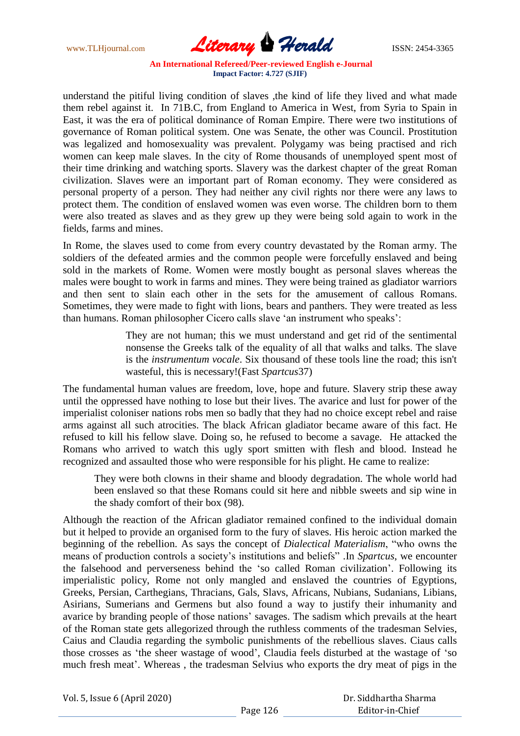www.TLHjournal.com **Literary Herald ISSN: 2454-3365** 

understand the pitiful living condition of slaves ,the kind of life they lived and what made them rebel against it. In 71B.C, from England to America in West, from Syria to Spain in East, it was the era of political dominance of Roman Empire. There were two institutions of governance of Roman political system. One was Senate, the other was Council. Prostitution was legalized and homosexuality was prevalent. Polygamy was being practised and rich women can keep male slaves. In the city of Rome thousands of unemployed spent most of their time drinking and watching sports. Slavery was the darkest chapter of the great Roman civilization. Slaves were an important part of Roman economy. They were considered as personal property of a person. They had neither any civil rights nor there were any laws to protect them. The condition of enslaved women was even worse. The children born to them were also treated as slaves and as they grew up they were being sold again to work in the fields, farms and mines.

In Rome, the slaves used to come from every country devastated by the Roman army. The soldiers of the defeated armies and the common people were forcefully enslaved and being sold in the markets of Rome. Women were mostly bought as personal slaves whereas the males were bought to work in farms and mines. They were being trained as gladiator warriors and then sent to slain each other in the sets for the amusement of callous Romans. Sometimes, they were made to fight with lions, bears and panthers. They were treated as less than humans. Roman philosopher Cicero calls slave 'an instrument who speaks':

> They are not human; this we must understand and get rid of the sentimental nonsense the Greeks talk of the equality of all that walks and talks. The slave is the *instrumentum vocale*. Six thousand of these tools line the road; this isn't wasteful, this is necessary!(Fast *Spartcus*37)

The fundamental human values are freedom, love, hope and future. Slavery strip these away until the oppressed have nothing to lose but their lives. The avarice and lust for power of the imperialist coloniser nations robs men so badly that they had no choice except rebel and raise arms against all such atrocities. The black African gladiator became aware of this fact. He refused to kill his fellow slave. Doing so, he refused to become a savage. He attacked the Romans who arrived to watch this ugly sport smitten with flesh and blood. Instead he recognized and assaulted those who were responsible for his plight. He came to realize:

They were both clowns in their shame and bloody degradation. The whole world had been enslaved so that these Romans could sit here and nibble sweets and sip wine in the shady comfort of their box (98).

Although the reaction of the African gladiator remained confined to the individual domain but it helped to provide an organised form to the fury of slaves. His heroic action marked the beginning of the rebellion. As says the concept of *Dialectical Materialism*, "who owns the means of production controls a society's institutions and beliefs". In *Spartcus*, we encounter the falsehood and perverseness behind the ‗so called Roman civilization'. Following its imperialistic policy, Rome not only mangled and enslaved the countries of Egyptions, Greeks, Persian, Carthegians, Thracians, Gals, Slavs, Africans, Nubians, Sudanians, Libians, Asirians, Sumerians and Germens but also found a way to justify their inhumanity and avarice by branding people of those nations' savages. The sadism which prevails at the heart of the Roman state gets allegorized through the ruthless comments of the tradesman Selvies, Caius and Claudia regarding the symbolic punishments of the rebellious slaves. Ciaus calls those crosses as 'the sheer wastage of wood', Claudia feels disturbed at the wastage of 'so much fresh meat'. Whereas , the tradesman Selvius who exports the dry meat of pigs in the

Vol. 5, Issue 6 (April 2020)

 Dr. Siddhartha Sharma Editor-in-Chief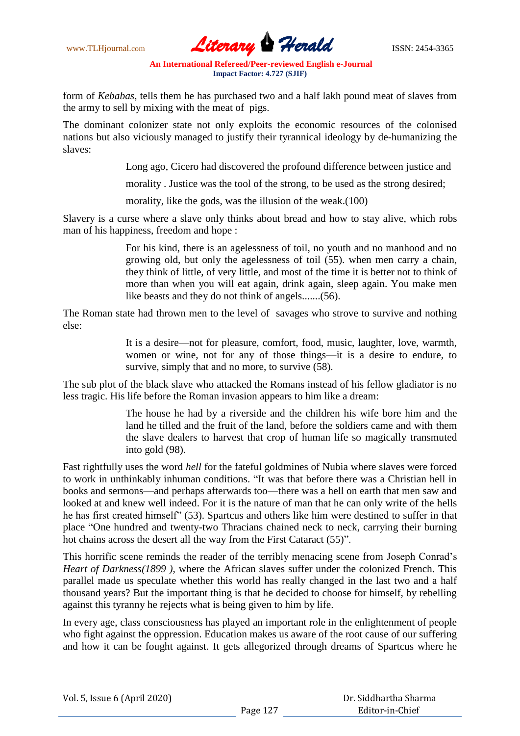

form of *Kebabas*, tells them he has purchased two and a half lakh pound meat of slaves from the army to sell by mixing with the meat of pigs.

The dominant colonizer state not only exploits the economic resources of the colonised nations but also viciously managed to justify their tyrannical ideology by de-humanizing the slaves:

Long ago, Cicero had discovered the profound difference between justice and

morality . Justice was the tool of the strong, to be used as the strong desired;

morality, like the gods, was the illusion of the weak.(100)

Slavery is a curse where a slave only thinks about bread and how to stay alive, which robs man of his happiness, freedom and hope :

> For his kind, there is an agelessness of toil, no youth and no manhood and no growing old, but only the agelessness of toil (55). when men carry a chain, they think of little, of very little, and most of the time it is better not to think of more than when you will eat again, drink again, sleep again. You make men like beasts and they do not think of angels.......(56).

The Roman state had thrown men to the level of savages who strove to survive and nothing else:

> It is a desire—not for pleasure, comfort, food, music, laughter, love, warmth, women or wine, not for any of those things—it is a desire to endure, to survive, simply that and no more, to survive  $(58)$ .

The sub plot of the black slave who attacked the Romans instead of his fellow gladiator is no less tragic. His life before the Roman invasion appears to him like a dream:

> The house he had by a riverside and the children his wife bore him and the land he tilled and the fruit of the land, before the soldiers came and with them the slave dealers to harvest that crop of human life so magically transmuted into gold (98).

Fast rightfully uses the word *hell* for the fateful goldmines of Nubia where slaves were forced to work in unthinkably inhuman conditions. "It was that before there was a Christian hell in books and sermons—and perhaps afterwards too—there was a hell on earth that men saw and looked at and knew well indeed. For it is the nature of man that he can only write of the hells he has first created himself" (53). Spartcus and others like him were destined to suffer in that place "One hundred and twenty-two Thracians chained neck to neck, carrying their burning hot chains across the desert all the way from the First Cataract (55)".

This horrific scene reminds the reader of the terribly menacing scene from Joseph Conrad's *Heart of Darkness(1899 )*, where the African slaves suffer under the colonized French. This parallel made us speculate whether this world has really changed in the last two and a half thousand years? But the important thing is that he decided to choose for himself, by rebelling against this tyranny he rejects what is being given to him by life.

In every age, class consciousness has played an important role in the enlightenment of people who fight against the oppression. Education makes us aware of the root cause of our suffering and how it can be fought against. It gets allegorized through dreams of Spartcus where he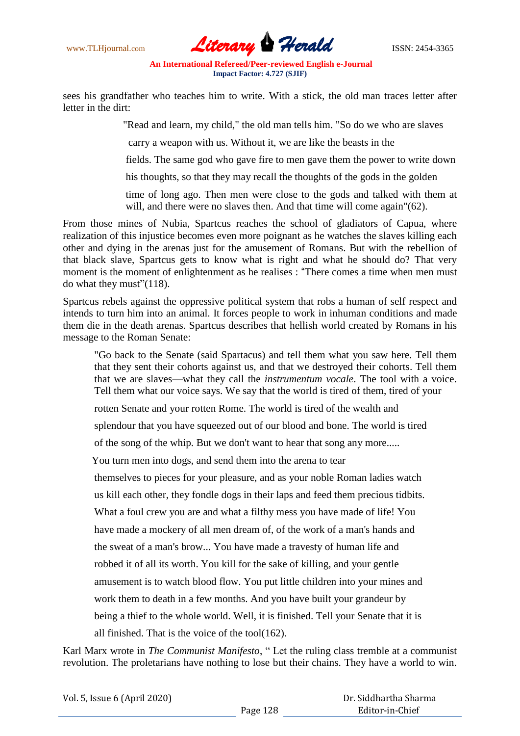

sees his grandfather who teaches him to write. With a stick, the old man traces letter after letter in the dirt:

"Read and learn, my child," the old man tells him. "So do we who are slaves

carry a weapon with us. Without it, we are like the beasts in the

fields. The same god who gave fire to men gave them the power to write down

his thoughts, so that they may recall the thoughts of the gods in the golden

time of long ago. Then men were close to the gods and talked with them at will, and there were no slaves then. And that time will come again"(62).

From those mines of Nubia, Spartcus reaches the school of gladiators of Capua, where realization of this injustice becomes even more poignant as he watches the slaves killing each other and dying in the arenas just for the amusement of Romans. But with the rebellion of that black slave, Spartcus gets to know what is right and what he should do? That very moment is the moment of enlightenment as he realises : "There comes a time when men must do what they must" $(118)$ .

Spartcus rebels against the oppressive political system that robs a human of self respect and intends to turn him into an animal. It forces people to work in inhuman conditions and made them die in the death arenas. Spartcus describes that hellish world created by Romans in his message to the Roman Senate:

"Go back to the Senate (said Spartacus) and tell them what you saw here. Tell them that they sent their cohorts against us, and that we destroyed their cohorts. Tell them that we are slaves—what they call the *instrumentum vocale*. The tool with a voice. Tell them what our voice says. We say that the world is tired of them, tired of your rotten Senate and your rotten Rome. The world is tired of the wealth and splendour that you have squeezed out of our blood and bone. The world is tired of the song of the whip. But we don't want to hear that song any more..... You turn men into dogs, and send them into the arena to tear themselves to pieces for your pleasure, and as your noble Roman ladies watch us kill each other, they fondle dogs in their laps and feed them precious tidbits. What a foul crew you are and what a filthy mess you have made of life! You have made a mockery of all men dream of, of the work of a man's hands and the sweat of a man's brow... You have made a travesty of human life and robbed it of all its worth. You kill for the sake of killing, and your gentle amusement is to watch blood flow. You put little children into your mines and work them to death in a few months. And you have built your grandeur by

being a thief to the whole world. Well, it is finished. Tell your Senate that it is

all finished. That is the voice of the tool(162).

Karl Marx wrote in *The Communist Manifesto*, "Let the ruling class tremble at a communist revolution. The proletarians have nothing to lose but their chains. They have a world to win.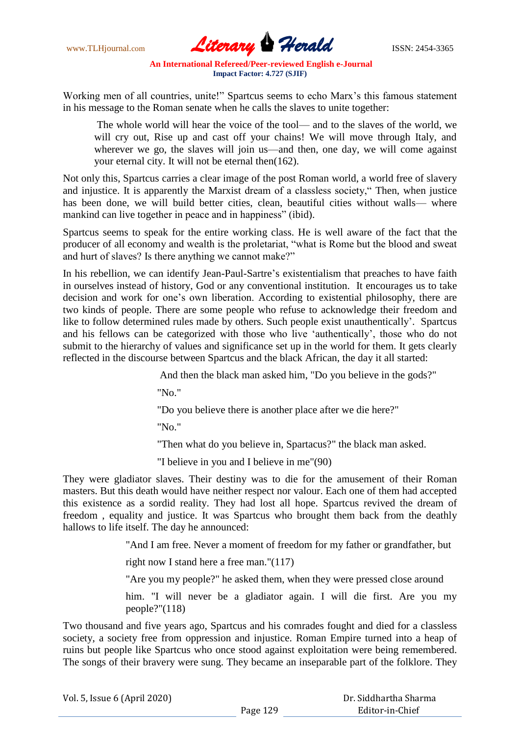www.TLHjournal.com **Literary Perald ISSN: 2454-3365** 

Working men of all countries, unite!" Spartcus seems to echo Marx's this famous statement in his message to the Roman senate when he calls the slaves to unite together:

The whole world will hear the voice of the tool— and to the slaves of the world, we will cry out, Rise up and cast off your chains! We will move through Italy, and wherever we go, the slaves will join us—and then, one day, we will come against your eternal city. It will not be eternal then(162).

Not only this, Spartcus carries a clear image of the post Roman world, a world free of slavery and injustice. It is apparently the Marxist dream of a classless society, "Then, when justice has been done, we will build better cities, clean, beautiful cities without walls— where mankind can live together in peace and in happiness" (ibid).

Spartcus seems to speak for the entire working class. He is well aware of the fact that the producer of all economy and wealth is the proletariat, "what is Rome but the blood and sweat and hurt of slaves? Is there anything we cannot make?"

In his rebellion, we can identify Jean-Paul-Sartre's existentialism that preaches to have faith in ourselves instead of history, God or any conventional institution. It encourages us to take decision and work for one's own liberation. According to existential philosophy, there are two kinds of people. There are some people who refuse to acknowledge their freedom and like to follow determined rules made by others. Such people exist unauthentically'. Spartcus and his fellows can be categorized with those who live ‗authentically', those who do not submit to the hierarchy of values and significance set up in the world for them. It gets clearly reflected in the discourse between Spartcus and the black African, the day it all started:

And then the black man asked him, "Do you believe in the gods?"

"No."

"Do you believe there is another place after we die here?"

"No."

"Then what do you believe in, Spartacus?" the black man asked.

"I believe in you and I believe in me"(90)

They were gladiator slaves. Their destiny was to die for the amusement of their Roman masters. But this death would have neither respect nor valour. Each one of them had accepted this existence as a sordid reality. They had lost all hope. Spartcus revived the dream of freedom , equality and justice. It was Spartcus who brought them back from the deathly hallows to life itself. The day he announced:

"And I am free. Never a moment of freedom for my father or grandfather, but

right now I stand here a free man."(117)

"Are you my people?" he asked them, when they were pressed close around

him. "I will never be a gladiator again. I will die first. Are you my people?"(118)

Two thousand and five years ago, Spartcus and his comrades fought and died for a classless society, a society free from oppression and injustice. Roman Empire turned into a heap of ruins but people like Spartcus who once stood against exploitation were being remembered. The songs of their bravery were sung. They became an inseparable part of the folklore. They

 Dr. Siddhartha Sharma Editor-in-Chief